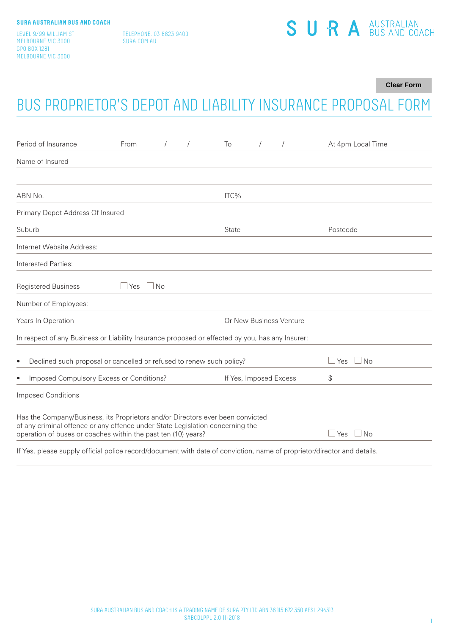LEVEL 9/99 WILLIAM ST MELBOURNE VIC 3000 GPO BOX 1281 MELBOURNE VIC 3000

TELEPHONE. 03 8823 9400 SURA.COM.AU

# SURA<sup>AUSTRALIAN</sup>

**Clear Form**

# BUS PROPRIETOR'S DEPOT AND LIABILITY INSURANCE PROPOSAL FORM

| Period of Insurance                                                                                                                                             | From         | $\sqrt{2}$ | $\sqrt{2}$ | To                     | $\prime$ |                         | At 4pm Local Time                            |
|-----------------------------------------------------------------------------------------------------------------------------------------------------------------|--------------|------------|------------|------------------------|----------|-------------------------|----------------------------------------------|
| Name of Insured                                                                                                                                                 |              |            |            |                        |          |                         |                                              |
|                                                                                                                                                                 |              |            |            |                        |          |                         |                                              |
| ABN No.                                                                                                                                                         |              |            |            | ITC%                   |          |                         |                                              |
| Primary Depot Address Of Insured                                                                                                                                |              |            |            |                        |          |                         |                                              |
| Suburb                                                                                                                                                          |              |            |            | State                  |          |                         | Postcode                                     |
| Internet Website Address:                                                                                                                                       |              |            |            |                        |          |                         |                                              |
| Interested Parties:                                                                                                                                             |              |            |            |                        |          |                         |                                              |
| <b>Registered Business</b>                                                                                                                                      | $\sqcup$ Yes | $\Box$ No  |            |                        |          |                         |                                              |
| Number of Employees:                                                                                                                                            |              |            |            |                        |          |                         |                                              |
| Years In Operation                                                                                                                                              |              |            |            |                        |          | Or New Business Venture |                                              |
| In respect of any Business or Liability Insurance proposed or effected by you, has any Insurer:                                                                 |              |            |            |                        |          |                         |                                              |
| Declined such proposal or cancelled or refused to renew such policy?<br>$\bullet$                                                                               |              |            |            |                        |          |                         | <b>No</b><br>Yes<br>$\overline{\phantom{0}}$ |
| Imposed Compulsory Excess or Conditions?<br>$\bullet$                                                                                                           |              |            |            | If Yes, Imposed Excess |          |                         | \$                                           |
| <b>Imposed Conditions</b>                                                                                                                                       |              |            |            |                        |          |                         |                                              |
| Has the Company/Business, its Proprietors and/or Directors ever been convicted<br>of any criminal offence or any offence under State Legislation concerning the |              |            |            |                        |          |                         |                                              |
| operation of buses or coaches within the past ten (10) years?                                                                                                   |              |            |            |                        |          |                         | <b>No</b><br>Yes<br>$\mathbf{L}$             |

If Yes, please supply official police record/document with date of conviction, name of proprietor/director and details.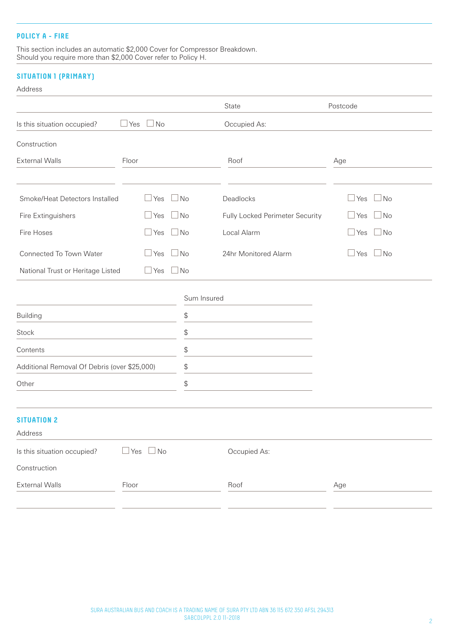#### **POLICY A - FIRE**

This section includes an automatic \$2,000 Cover for Compressor Breakdown. Should you require more than \$2,000 Cover refer to Policy H.

# **SITUATION 1 (PRIMARY)**

#### Address

|                                              |            |            |                                                              | State                           | Postcode                |
|----------------------------------------------|------------|------------|--------------------------------------------------------------|---------------------------------|-------------------------|
| Is this situation occupied?                  | $\Box$ Yes | $\Box$ No  |                                                              | Occupied As:                    |                         |
| Construction                                 |            |            |                                                              |                                 |                         |
| <b>External Walls</b>                        | Floor      |            |                                                              | Roof                            | Age                     |
|                                              |            |            |                                                              |                                 |                         |
| Smoke/Heat Detectors Installed               |            | $\Box$ Yes | $\Box$ No                                                    | Deadlocks                       | $\Box$ No<br>$\Box$ Yes |
| Fire Extinguishers                           |            | $\Box$ Yes | $\Box$ No                                                    | Fully Locked Perimeter Security | $\Box$ No<br>$\Box$ Yes |
| Fire Hoses                                   |            | $\Box$ Yes | $\Box$ No                                                    | Local Alarm                     | $\Box$ Yes<br>$\Box$ No |
| Connected To Town Water                      |            | $\Box$ Yes | $\Box$ No                                                    | 24hr Monitored Alarm            | $\Box$ Yes<br>$\Box$ No |
| National Trust or Heritage Listed            |            | $\Box$ Yes | $\Box$ No                                                    |                                 |                         |
|                                              |            |            |                                                              |                                 |                         |
| <b>Building</b>                              |            |            | Sum Insured<br>$\, \, \raisebox{12pt}{$\scriptstyle \circ$}$ |                                 |                         |
|                                              |            |            |                                                              |                                 |                         |
| Stock                                        |            |            | \$                                                           |                                 |                         |
| Contents                                     |            |            | \$                                                           |                                 |                         |
| Additional Removal Of Debris (over \$25,000) |            |            | \$                                                           |                                 |                         |
| Other                                        |            |            | \$                                                           |                                 |                         |
| <b>SITUATION 2</b>                           |            |            |                                                              |                                 |                         |
| Address                                      |            |            |                                                              |                                 |                         |
| Is this situation occupied?                  | $\Box$ Yes | $\Box$ No  |                                                              | Occupied As:                    |                         |
| Construction                                 |            |            |                                                              |                                 |                         |
| <b>External Walls</b>                        | Floor      |            |                                                              | Roof                            | Age                     |
|                                              |            |            |                                                              |                                 |                         |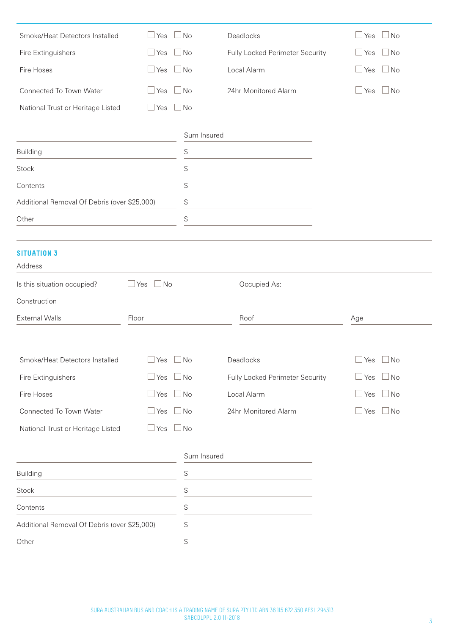| Smoke/Heat Detectors Installed               | $\Box$ Yes<br>$\Box$ No                       | Deadlocks                       | No<br>$\mathbin{\sqcup}$ Yes |
|----------------------------------------------|-----------------------------------------------|---------------------------------|------------------------------|
| Fire Extinguishers                           | $\Box$ No<br>$\Box$ Yes                       | Fully Locked Perimeter Security | $\Box$ No<br>$\Box$ Yes      |
| Fire Hoses                                   | $\Box$ Yes<br>$\Box$ No                       | Local Alarm                     | $\exists$ No<br>$\Box$ Yes   |
| Connected To Town Water                      | $\Box$ No<br>$\Box$ Yes                       | 24hr Monitored Alarm            | $\Box$ No<br>$\Box$ Yes      |
| National Trust or Heritage Listed            | $\Box$ Yes<br>$\Box$ No                       |                                 |                              |
|                                              |                                               |                                 |                              |
|                                              | Sum Insured                                   |                                 |                              |
| <b>Building</b>                              | \$                                            |                                 |                              |
| Stock                                        | \$                                            |                                 |                              |
| Contents                                     | \$                                            |                                 |                              |
| Additional Removal Of Debris (over \$25,000) | $\, \, \raisebox{12pt}{$\scriptstyle \circ$}$ |                                 |                              |
| Other                                        | \$                                            |                                 |                              |
|                                              |                                               |                                 |                              |
| <b>SITUATION 3</b><br>Address                |                                               |                                 |                              |
| Is this situation occupied?                  | $\Box$ No<br>Yes                              | Occupied As:                    |                              |
| Construction                                 |                                               |                                 |                              |
| <b>External Walls</b>                        | Floor                                         | Roof                            | Age                          |
|                                              |                                               |                                 |                              |
| Smoke/Heat Detectors Installed               | $\Box$ Yes $\Box$ No                          | Deadlocks                       | $\Box$ Yes $\Box$ No         |
| Fire Extinguishers                           | $\Box$ Yes<br>$\Box$ No                       | Fully Locked Perimeter Security | $\Box$ Yes<br>$\Box$ No      |
| Fire Hoses                                   | $\Box$ Yes $\Box$ No                          | Local Alarm                     | $\Box$ Yes<br>$\Box$ No      |
| Connected To Town Water                      | $\Box$ No<br>$\Box$ Yes                       | 24hr Monitored Alarm            | $\Box$ No<br>$\Box$ Yes      |
| National Trust or Heritage Listed            | $\Box$ No<br>$\Box$ Yes                       |                                 |                              |
|                                              |                                               |                                 |                              |
|                                              | Sum Insured                                   |                                 |                              |
| <b>Building</b>                              | \$                                            |                                 |                              |
| <b>Stock</b>                                 | \$                                            |                                 |                              |
| Contents                                     | $\, \, \raisebox{12pt}{$\scriptstyle \circ$}$ |                                 |                              |
|                                              |                                               |                                 |                              |
| Additional Removal Of Debris (over \$25,000) | $\, \, \raisebox{12pt}{$\scriptstyle \circ$}$ |                                 |                              |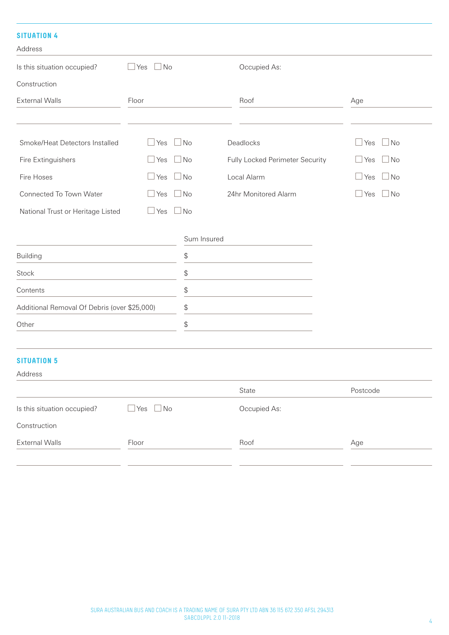## **SITUATION 4**

| Address                           |                           |                                 |                       |
|-----------------------------------|---------------------------|---------------------------------|-----------------------|
| Is this situation occupied?       | $\Box$ No<br>⊥Yes         | Occupied As:                    |                       |
| Construction                      |                           |                                 |                       |
| <b>External Walls</b>             | Floor                     | Roof                            | Age                   |
|                                   |                           |                                 |                       |
| Smoke/Heat Detectors Installed    | $\Box$ No<br>$\Box$ Yes   | Deadlocks                       | Yes $\Box$ No<br>L    |
| Fire Extinguishers                | $\Box$ No<br>$\Box$ Yes   | Fully Locked Perimeter Security | $\Box$ No<br>Yes<br>L |
| Fire Hoses                        | $\Box$ No<br>$\sqcup$ Yes | Local Alarm                     | $\Box$ No<br>Yes<br>L |
| Connected To Town Water           | $\Box$ No<br>$\Box$ Yes   | 24hr Monitored Alarm            | $\Box$ Yes $\Box$ No  |
| National Trust or Heritage Listed | $\Box$ No<br>$\Box$ Yes   |                                 |                       |
|                                   | Sum Insured               |                                 |                       |
| <b>Building</b>                   | \$                        |                                 |                       |
| Stock                             | \$                        |                                 |                       |
| Contents                          | $\mathfrak{L}$            |                                 |                       |

| Contents                                     |  |
|----------------------------------------------|--|
| Additional Removal Of Debris (over \$25,000) |  |
| Other                                        |  |
|                                              |  |

# **SITUATION 5**

| Address                     |          |              |          |
|-----------------------------|----------|--------------|----------|
|                             |          | State        | Postcode |
| Is this situation occupied? | ]Yes □No | Occupied As: |          |
| Construction                |          |              |          |
| <b>External Walls</b>       | Floor    | Roof         | Age      |
|                             |          |              |          |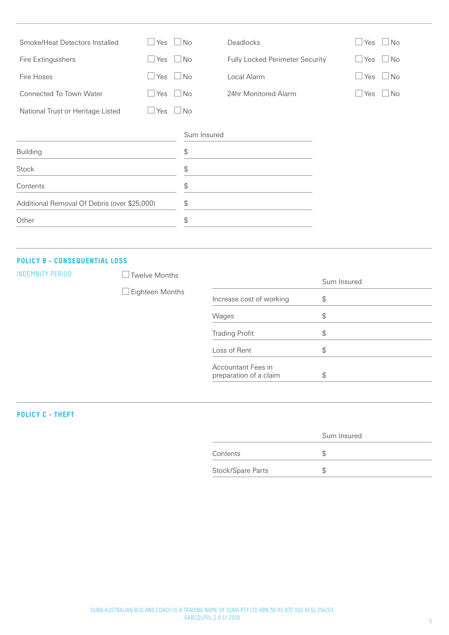| $\Box$ Yes $\Box$ No<br>Smoke/Heat Detectors Installed |                         |             | Deadlocks                       | Yes          | l No |
|--------------------------------------------------------|-------------------------|-------------|---------------------------------|--------------|------|
| $\Box$ Yes<br>$\Box$ No<br>Fire Extinguishers          |                         |             | Fully Locked Perimeter Security | Yes          | l No |
| Fire Hoses                                             | $\Box$ Yes<br>$\Box$ No |             | Local Alarm                     | Yes          | No   |
| <b>Connected To Town Water</b>                         | $\Box$ Yes $\Box$ No    |             | 24hr Monitored Alarm            | $\sqcup$ Yes | l No |
| National Trust or Heritage Listed                      | $\Box$ Yes $\Box$ No    |             |                                 |              |      |
|                                                        |                         | Sum Insured |                                 |              |      |
| <b>Building</b>                                        |                         | \$          |                                 |              |      |
| Stock                                                  |                         | \$          |                                 |              |      |
| Contents                                               |                         | \$          |                                 |              |      |
| Additional Removal Of Debris (over \$25,000)           | \$                      |             |                                 |              |      |
| Other                                                  | \$                      |             |                                 |              |      |
|                                                        |                         |             |                                 |              |      |

#### **POLICY B - CONSEQUENTIAL LOSS**

INDEMNITY PERIOD Twelve Months

Eighteen Months Sum Insured Increase cost of working  $\$\$ Wages  $\qquad \qquad \text{\$}$ Trading Profit \$ Loss of Rent  $\$\$ Accountant Fees in

preparation of a claim \$

**POLICY C - THEFT**

|                   | Sum Insured |
|-------------------|-------------|
| Contents          |             |
| Stock/Spare Parts |             |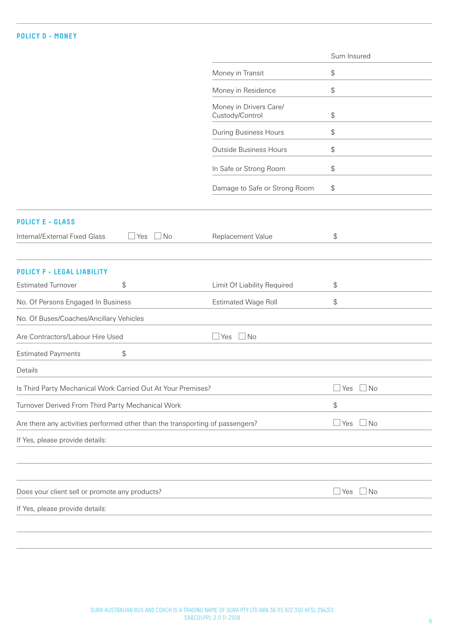|                                                                               |                                           | Sum Insured                                   |
|-------------------------------------------------------------------------------|-------------------------------------------|-----------------------------------------------|
|                                                                               | Money in Transit                          | \$                                            |
|                                                                               | Money in Residence                        | \$                                            |
|                                                                               | Money in Drivers Care/<br>Custody/Control | \$                                            |
|                                                                               | During Business Hours                     | \$                                            |
|                                                                               | <b>Outside Business Hours</b>             | \$                                            |
|                                                                               | In Safe or Strong Room                    | \$                                            |
|                                                                               | Damage to Safe or Strong Room             | \$                                            |
| <b>POLICY E - GLASS</b>                                                       |                                           |                                               |
| Internal/External Fixed Glass<br>$\Box$ No<br>$\Box$ Yes                      | Replacement Value                         | \$                                            |
| POLICY F - LEGAL LIABILITY                                                    |                                           |                                               |
| \$<br><b>Estimated Turnover</b>                                               | Limit Of Liability Required               | \$                                            |
| No. Of Persons Engaged In Business                                            | <b>Estimated Wage Roll</b>                | \$                                            |
| No. Of Buses/Coaches/Ancillary Vehicles                                       |                                           |                                               |
| Are Contractors/Labour Hire Used                                              | $\Box$ Yes<br>$\Box$ No                   |                                               |
| \$<br><b>Estimated Payments</b>                                               |                                           |                                               |
| Details                                                                       |                                           |                                               |
| Is Third Party Mechanical Work Carried Out At Your Premises?                  |                                           | $\Box$ Yes $\Box$ No                          |
| Turnover Derived From Third Party Mechanical Work                             |                                           | $\, \, \raisebox{12pt}{$\scriptstyle \circ$}$ |
| Are there any activities performed other than the transporting of passengers? |                                           | $\mathbf{\perp}$ Yes<br>⊿No                   |
| If Yes, please provide details:                                               |                                           |                                               |
|                                                                               |                                           |                                               |
| Does your client sell or promote any products?                                |                                           | <u> </u> Yes<br>l No                          |
| If Yes, please provide details:                                               |                                           |                                               |
|                                                                               |                                           |                                               |
|                                                                               |                                           |                                               |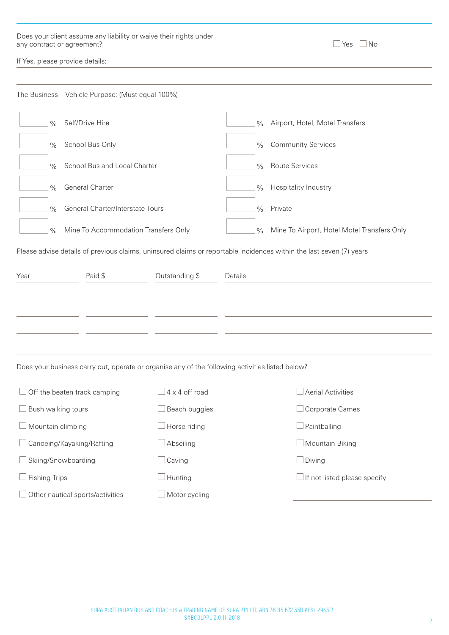| Does your client assume any liability or waive their rights under |                      |  |
|-------------------------------------------------------------------|----------------------|--|
| any contract or agreement?                                        | $\Box$ Yes $\Box$ No |  |

| $\overline{\phantom{0}}$<br>--<br>$\sim$<br>×<br>۰. | Nn |
|-----------------------------------------------------|----|
|-----------------------------------------------------|----|

If Yes, please provide details:

|                                  | The Business - Vehicle Purpose: (Must equal 100%)                                               |                              |               |                                                                                                                     |  |  |
|----------------------------------|-------------------------------------------------------------------------------------------------|------------------------------|---------------|---------------------------------------------------------------------------------------------------------------------|--|--|
| $\frac{0}{0}$                    | Self/Drive Hire                                                                                 |                              | $\frac{0}{0}$ | Airport, Hotel, Motel Transfers                                                                                     |  |  |
| $\frac{0}{0}$                    | School Bus Only                                                                                 |                              |               | <b>Community Services</b>                                                                                           |  |  |
| $\frac{0}{0}$                    | School Bus and Local Charter                                                                    |                              |               | <b>Route Services</b>                                                                                               |  |  |
| $\frac{0}{0}$                    | General Charter                                                                                 |                              | $\frac{0}{0}$ | Hospitality Industry                                                                                                |  |  |
| $\frac{0}{0}$                    | General Charter/Interstate Tours                                                                |                              | $\frac{0}{0}$ | Private                                                                                                             |  |  |
| $\frac{0}{0}$                    | Mine To Accommodation Transfers Only                                                            |                              | $\frac{0}{0}$ | Mine To Airport, Hotel Motel Transfers Only                                                                         |  |  |
|                                  |                                                                                                 |                              |               | Please advise details of previous claims, uninsured claims or reportable incidences within the last seven (7) years |  |  |
| Year                             | Paid \$                                                                                         | Outstanding \$               | Details       |                                                                                                                     |  |  |
|                                  |                                                                                                 |                              |               |                                                                                                                     |  |  |
|                                  |                                                                                                 |                              |               |                                                                                                                     |  |  |
|                                  |                                                                                                 |                              |               |                                                                                                                     |  |  |
|                                  |                                                                                                 |                              |               |                                                                                                                     |  |  |
|                                  | Does your business carry out, operate or organise any of the following activities listed below? |                              |               |                                                                                                                     |  |  |
|                                  | $\Box$ Off the beaten track camping                                                             | $\sqrt{4 \times 4}$ off road |               | Aerial Activities                                                                                                   |  |  |
| $\Box$ Bush walking tours        |                                                                                                 | Beach buggies                |               | Corporate Games                                                                                                     |  |  |
| Mountain climbing                |                                                                                                 | Horse riding                 |               | $\exists$ Paintballing                                                                                              |  |  |
| $\Box$ Canoeing/Kayaking/Rafting |                                                                                                 | Abseiling                    |               | $\Box$ Mountain Biking                                                                                              |  |  |
| Skiing/Snowboarding              |                                                                                                 | Caving                       |               | $\Box$ Diving                                                                                                       |  |  |
| $\Box$ Fishing Trips             |                                                                                                 | Hunting                      |               | $\Box$ If not listed please specify                                                                                 |  |  |
|                                  | $\Box$ Other nautical sports/activities                                                         | $\Box$ Motor cycling         |               |                                                                                                                     |  |  |
|                                  |                                                                                                 |                              |               |                                                                                                                     |  |  |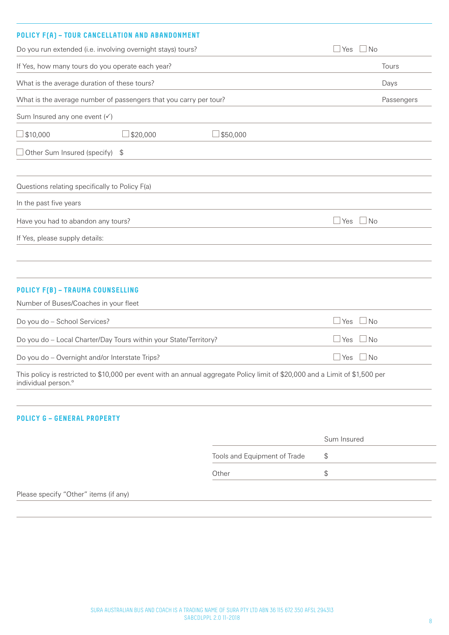# **POLICY F(A) – TOUR CANCELLATION AND ABANDONMENT**

|                                                                                                                                                                       | <b>FULICI I [N] - IOUR CHNCLLLMIIUN MND MDMNDUNIILNI</b>         |          |                           |            |  |
|-----------------------------------------------------------------------------------------------------------------------------------------------------------------------|------------------------------------------------------------------|----------|---------------------------|------------|--|
| Do you run extended (i.e. involving overnight stays) tours?                                                                                                           |                                                                  |          | $\sqcup$ Yes<br>$\Box$ No |            |  |
| If Yes, how many tours do you operate each year?<br>What is the average duration of these tours?<br>What is the average number of passengers that you carry per tour? |                                                                  |          |                           | Tours      |  |
|                                                                                                                                                                       |                                                                  |          |                           | Days       |  |
|                                                                                                                                                                       |                                                                  |          |                           | Passengers |  |
| Sum Insured any one event $(\checkmark)$                                                                                                                              |                                                                  |          |                           |            |  |
| $\Box$ \$10,000                                                                                                                                                       | \$20,000                                                         | \$50,000 |                           |            |  |
| $\Box$ Other Sum Insured (specify) \$                                                                                                                                 |                                                                  |          |                           |            |  |
| Questions relating specifically to Policy F(a)                                                                                                                        |                                                                  |          |                           |            |  |
| In the past five years                                                                                                                                                |                                                                  |          |                           |            |  |
| Have you had to abandon any tours?                                                                                                                                    |                                                                  |          | $\Box$ Yes<br>$\Box$ No   |            |  |
| If Yes, please supply details:                                                                                                                                        |                                                                  |          |                           |            |  |
|                                                                                                                                                                       |                                                                  |          |                           |            |  |
| <b>POLICY F(B) - TRAUMA COUNSELLING</b>                                                                                                                               |                                                                  |          |                           |            |  |
| Number of Buses/Coaches in your fleet                                                                                                                                 |                                                                  |          |                           |            |  |
| Do you do - School Services?                                                                                                                                          |                                                                  |          | $\Box$ Yes<br>$\Box$ No   |            |  |
|                                                                                                                                                                       | Do you do - Local Charter/Day Tours within your State/Territory? |          | $\Box$ Yes<br>∃No         |            |  |
| Do you do - Overnight and/or Interstate Trips?                                                                                                                        |                                                                  |          | $\Box$ Yes $\Box$ No      |            |  |

This policy is restricted to \$10,000 per event with an annual aggregate Policy limit of \$20,000 and a Limit of \$1,500 per individual person.º

## **POLICY G – GENERAL PROPERTY**

|                              | Sum Insured |
|------------------------------|-------------|
| Tools and Equipment of Trade |             |
| Other                        |             |
|                              |             |

Please specify "Other" items (if any)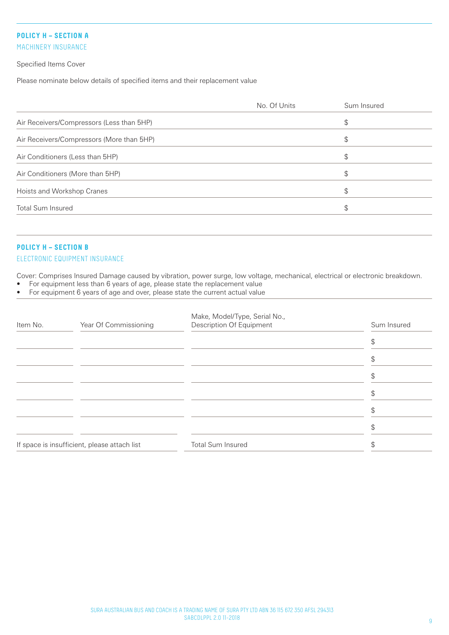# **POLICY H – SECTION A**

MACHINERY INSURANCE

Specified Items Cover

Please nominate below details of specified items and their replacement value

|                                           | No. Of Units | Sum Insured |
|-------------------------------------------|--------------|-------------|
| Air Receivers/Compressors (Less than 5HP) |              | \$          |
| Air Receivers/Compressors (More than 5HP) |              | \$          |
| Air Conditioners (Less than 5HP)          |              | \$          |
| Air Conditioners (More than 5HP)          |              | \$          |
| Hoists and Workshop Cranes                |              | \$          |
| <b>Total Sum Insured</b>                  |              | \$          |
|                                           |              |             |

# **POLICY H – SECTION B**

#### ELECTRONIC EQUIPMENT INSURANCE

Cover: Comprises Insured Damage caused by vibration, power surge, low voltage, mechanical, electrical or electronic breakdown.

- For equipment less than 6 years of age, please state the replacement value
- For equipment 6 years of age and over, please state the current actual value

| Item No. | Year Of Commissioning                        | Make, Model/Type, Serial No.,<br>Description Of Equipment | Sum Insured |
|----------|----------------------------------------------|-----------------------------------------------------------|-------------|
|          |                                              |                                                           |             |
|          |                                              |                                                           |             |
|          |                                              |                                                           |             |
|          |                                              |                                                           |             |
|          |                                              |                                                           |             |
|          |                                              |                                                           |             |
|          | If space is insufficient, please attach list | <b>Total Sum Insured</b>                                  |             |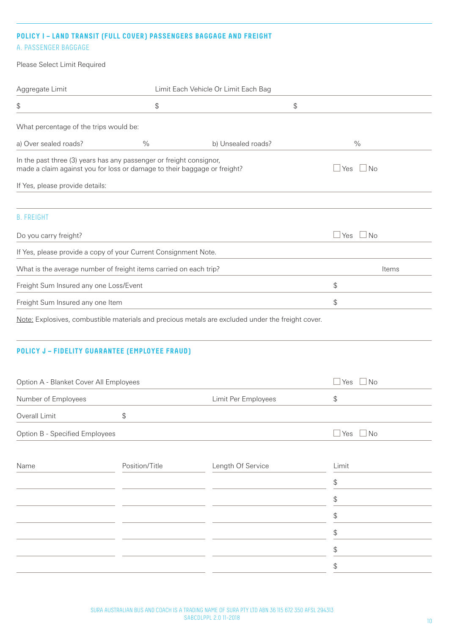#### **POLICY I – LAND TRANSIT (FULL COVER) PASSENGERS BAGGAGE AND FREIGHT**

# A. PASSENGER BAGGAGE

Please Select Limit Required

| Aggregate Limit                                                                                                                                                                                          |               | Limit Each Vehicle Or Limit Each Bag |    |                         |
|----------------------------------------------------------------------------------------------------------------------------------------------------------------------------------------------------------|---------------|--------------------------------------|----|-------------------------|
| \$                                                                                                                                                                                                       | \$            |                                      | \$ |                         |
| What percentage of the trips would be:                                                                                                                                                                   |               |                                      |    |                         |
| a) Over sealed roads?                                                                                                                                                                                    | $\frac{0}{0}$ | b) Unsealed roads?                   |    | $\frac{0}{0}$           |
| In the past three (3) years has any passenger or freight consignor,<br>made a claim against you for loss or damage to their baggage or freight?<br>$\Box$ No<br>l Yes<br>If Yes, please provide details: |               |                                      |    |                         |
| <b>B. FREIGHT</b>                                                                                                                                                                                        |               |                                      |    |                         |
| Do you carry freight?                                                                                                                                                                                    |               |                                      |    | $\Box$ Yes<br>$\Box$ No |
| If Yes, please provide a copy of your Current Consignment Note.                                                                                                                                          |               |                                      |    |                         |
| What is the average number of freight items carried on each trip?                                                                                                                                        |               |                                      |    | Items                   |
| Freight Sum Insured any one Loss/Event                                                                                                                                                                   |               |                                      |    | \$                      |
| Freight Sum Insured any one Item                                                                                                                                                                         |               |                                      |    | \$                      |

Note: Explosives, combustible materials and precious metals are excluded under the freight cover.

# **POLICY J – FIDELITY GUARANTEE (EMPLOYEE FRAUD)**

| Option A - Blanket Cover All Employees |                | $\Box$ No<br>Yes    |                                               |
|----------------------------------------|----------------|---------------------|-----------------------------------------------|
| Number of Employees                    |                | Limit Per Employees | \$                                            |
| Overall Limit                          | \$             |                     |                                               |
| Option B - Specified Employees         |                |                     | $\Box$ Yes $\Box$ No                          |
| Name                                   | Position/Title | Length Of Service   | Limit                                         |
|                                        |                |                     | $\, \, \raisebox{12pt}{$\scriptstyle \circ$}$ |
|                                        |                |                     | \$                                            |
|                                        |                |                     | \$                                            |
|                                        |                |                     | \$                                            |
|                                        |                |                     | \$                                            |
|                                        |                |                     | \$                                            |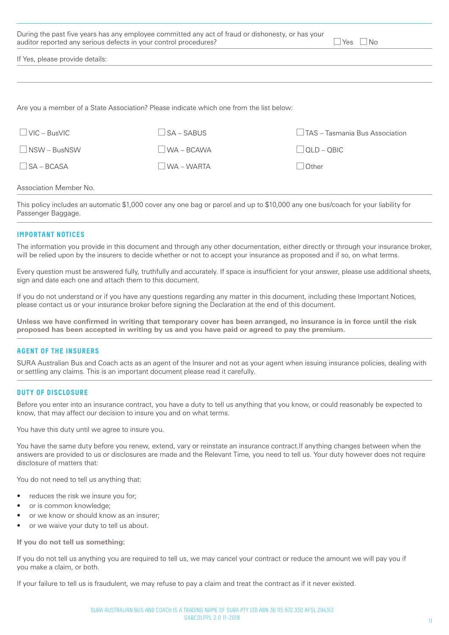| During the past five years has any employee committed any act of fraud or dishonesty, or has your<br>auditor reported any serious defects in your control procedures?<br>$\overline{\mathsf{No}}$<br>Yes. |                |                                |  |  |
|-----------------------------------------------------------------------------------------------------------------------------------------------------------------------------------------------------------|----------------|--------------------------------|--|--|
| If Yes, please provide details:                                                                                                                                                                           |                |                                |  |  |
|                                                                                                                                                                                                           |                |                                |  |  |
| Are you a member of a State Association? Please indicate which one from the list below:                                                                                                                   |                |                                |  |  |
| $VIC - BusVIC$                                                                                                                                                                                            | $S_A - SARIIS$ | TAS – Tasmania Bus Association |  |  |
| NSW - BusNSW                                                                                                                                                                                              | WA - BCAWA     | $\vert$ QLD – QBIC             |  |  |

#### Association Member No.

This policy includes an automatic \$1,000 cover any one bag or parcel and up to \$10,000 any one bus/coach for your liability for Passenger Baggage.

 $\Box$ SA – BCASA  $\Box$ WA – WARTA  $\Box$ Other

#### **IMPORTANT NOTICES**

The information you provide in this document and through any other documentation, either directly or through your insurance broker, will be relied upon by the insurers to decide whether or not to accept your insurance as proposed and if so, on what terms.

Every question must be answered fully, truthfully and accurately. If space is insufficient for your answer, please use additional sheets, sign and date each one and attach them to this document.

If you do not understand or if you have any questions regarding any matter in this document, including these Important Notices, please contact us or your insurance broker before signing the Declaration at the end of this document.

**Unless we have confirmed in writing that temporary cover has been arranged, no insurance is in force until the risk proposed has been accepted in writing by us and you have paid or agreed to pay the premium.**

#### **AGENT OF THE INSURERS**

SURA Australian Bus and Coach acts as an agent of the Insurer and not as your agent when issuing insurance policies, dealing with or settling any claims. This is an important document please read it carefully.

#### **DUTY OF DISCLOSURE**

Before you enter into an insurance contract, you have a duty to tell us anything that you know, or could reasonably be expected to know, that may affect our decision to insure you and on what terms.

You have this duty until we agree to insure you.

You have the same duty before you renew, extend, vary or reinstate an insurance contract.If anything changes between when the answers are provided to us or disclosures are made and the Relevant Time, you need to tell us. Your duty however does not require disclosure of matters that:

You do not need to tell us anything that:

- reduces the risk we insure you for;
- or is common knowledge;
- or we know or should know as an insurer;
- or we waive your duty to tell us about.

**If you do not tell us something:**

If you do not tell us anything you are required to tell us, we may cancel your contract or reduce the amount we will pay you if you make a claim, or both.

If your failure to tell us is fraudulent, we may refuse to pay a claim and treat the contract as if it never existed.